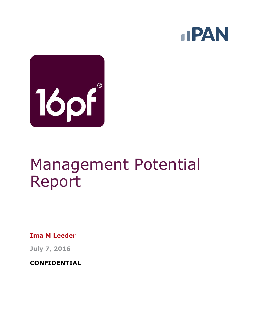



# Management Potential Report

**Ima M Leeder**

**July 7, 2016**

**CONFIDENTIAL**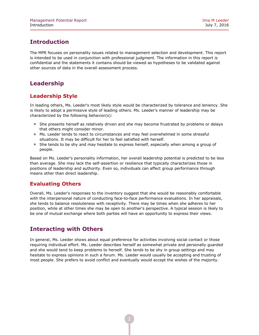## **Introduction**

The MPR focuses on personality issues related to management selection and development. This report is intended to be used in conjunction with professional judgment. The information in this report is confidential and the statements it contains should be viewed as hypotheses to be validated against other sources of data in the overall assessment process.

## **Leadership**

#### **Leadership Style**

In leading others, Ms. Leeder's most likely style would be characterized by tolerance and leniency. She is likely to adopt a permissive style of leading others. Ms. Leeder's manner of leadership may be characterized by the following behavior(s):

- She presents herself as relatively driven and she may become frustrated by problems or delays that others might consider minor.
- Ms. Leeder tends to react to circumstances and may feel overwhelmed in some stressful situations. It may be difficult for her to feel satisfied with herself.
- She tends to be shy and may hesitate to express herself, especially when among a group of people.

Based on Ms. Leeder's personality information, her overall leadership potential is predicted to be less than average. She may lack the self-assertion or resilience that typically characterizes those in positions of leadership and authority. Even so, individuals can affect group performance through means other than direct leadership.

#### **Evaluating Others**

Overall, Ms. Leeder's responses to the inventory suggest that she would be reasonably comfortable with the interpersonal nature of conducting face-to-face performance evaluations. In her appraisals, she tends to balance resoluteness with receptivity. There may be times when she adheres to her position, while at other times she may be open to another's perspective. A typical session is likely to be one of mutual exchange where both parties will have an opportunity to express their views.

## **Interacting with Others**

In general, Ms. Leeder shows about equal preference for activities involving social contact or those requiring individual effort. Ms. Leeder describes herself as somewhat private and personally guarded and she would tend to keep problems to herself. She tends to be shy in group settings and may hesitate to express opinions in such a forum. Ms. Leeder would usually be accepting and trusting of most people. She prefers to avoid conflict and eventually would accept the wishes of the majority.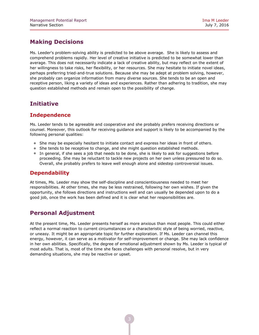## **Making Decisions**

Ms. Leeder's problem-solving ability is predicted to be above average. She is likely to assess and comprehend problems rapidly. Her level of creative initiative is predicted to be somewhat lower than average. This does not necessarily indicate a lack of creative ability, but may reflect on the extent of her willingness to take risks, her flexibility, or her resources. She may hesitate to initiate novel ideas, perhaps preferring tried-and-true solutions. Because she may be adept at problem solving, however, she probably can organize information from many diverse sources. She tends to be an open and receptive person, liking a variety of ideas and experiences. Rather than adhering to tradition, she may question established methods and remain open to the possibility of change.

## **Initiative**

## **Independence**

Ms. Leeder tends to be agreeable and cooperative and she probably prefers receiving directions or counsel. Moreover, this outlook for receiving guidance and support is likely to be accompanied by the following personal qualities:

- She may be especially hesitant to initiate contact and express her ideas in front of others.
- She tends to be receptive to change, and she might question established methods.
- In general, if she sees a job that needs to be done, she is likely to ask for suggestions before proceeding. She may be reluctant to tackle new projects on her own unless pressured to do so. Overall, she probably prefers to leave well enough alone and sidestep controversial issues.

#### **Dependability**

At times, Ms. Leeder may show the self-discipline and conscientiousness needed to meet her responsibilities. At other times, she may be less restrained, following her own wishes. If given the opportunity, she follows directions and instructions well and can usually be depended upon to do a good job, once the work has been defined and it is clear what her responsibilities are.

## **Personal Adjustment**

At the present time, Ms. Leeder presents herself as more anxious than most people. This could either reflect a normal reaction to current circumstances or a characteristic style of being worried, reactive, or uneasy. It might be an appropriate topic for further exploration. If Ms. Leeder can channel this energy, however, it can serve as a motivator for self-improvement or change. She may lack confidence in her own abilities. Specifically, the degree of emotional adjustment shown by Ms. Leeder is typical of most adults. That is, most of the time she faces challenges with personal resolve, but in very demanding situations, she may be reactive or upset.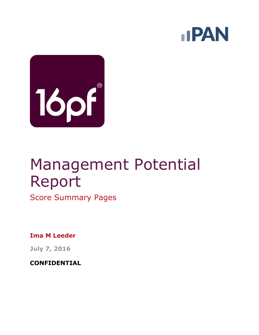



# Management Potential Report

Score Summary Pages

**Ima M Leeder**

**July 7, 2016**

**CONFIDENTIAL**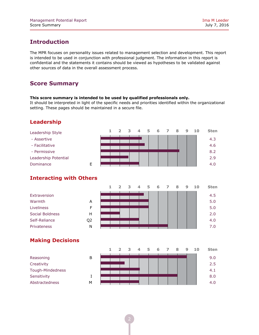## **Introduction**

The MPR focuses on personality issues related to management selection and development. This report is intended to be used in conjunction with professional judgment. The information in this report is confidential and the statements it contains should be viewed as hypotheses to be validated against other sources of data in the overall assessment process.

## **Score Summary**

#### **This score summary is intended to be used by qualified professionals only.**

It should be interpreted in light of the specific needs and priorities identified within the organizational setting. These pages should be maintained in a secure file.

#### **Leadership**



#### **Interacting with Others**

|                 |                | ∍ | з | ⊿ | 5 | 6 | 8 | 9 | 10 | <b>Sten</b> |
|-----------------|----------------|---|---|---|---|---|---|---|----|-------------|
| Extraversion    |                |   |   |   |   |   |   |   |    | 4.5         |
| Warmth          | A              |   |   |   |   |   |   |   |    | 5.0         |
| Liveliness      | F              |   |   |   |   |   |   |   |    | 5.0         |
| Social Boldness | н              |   |   |   |   |   |   |   |    | 2.0         |
| Self-Reliance   | Q <sub>2</sub> |   |   |   |   |   |   |   |    | 4.0         |
| Privateness     | N              |   |   |   |   |   |   |   |    | 7.0         |
|                 |                |   |   |   |   |   |   |   |    |             |

#### **Making Decisions**

|                  |   |  | ∍ | 2 | 5 | 6 | ⇁ | 8 | 9 | 1 O | <b>Sten</b> |
|------------------|---|--|---|---|---|---|---|---|---|-----|-------------|
| Reasoning        | B |  |   |   |   |   |   |   |   |     | 9.0         |
| Creativity       |   |  |   |   |   |   |   |   |   |     | 2.5         |
| Tough-Mindedness |   |  |   |   |   |   |   |   |   |     | 4.1         |
| Sensitivity      |   |  |   |   |   |   |   |   |   |     | 8.0         |
| Abstractedness   | м |  |   |   |   |   |   |   |   |     | 4.0         |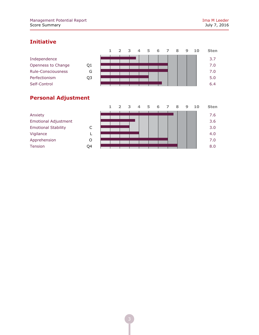## **Initiative**

|                    |    |  | २ | $\overline{\mathbf{A}}$ | 5. | 6 | 8 | 9 | 10 | <b>Sten</b> |
|--------------------|----|--|---|-------------------------|----|---|---|---|----|-------------|
| Independence       |    |  |   |                         |    |   |   |   |    | 3.7         |
| Openness to Change | Q1 |  |   |                         |    |   |   |   |    | 7.0         |
| Rule-Consciousness | G  |  |   |                         |    |   |   |   |    | 7.0         |
| Perfectionism      | Q3 |  |   |                         |    |   |   |   |    | 5.0         |
| Self-Control       |    |  |   |                         |    |   |   |   |    | 6.4         |
|                    |    |  |   |                         |    |   |   |   |    |             |

## **Personal Adjustment**

|                             |    |  | $\overline{ }$ | $\overline{\mathbf{z}}$ | $\Delta$ | 5 | 6 | 8 | 9 | 10 | <b>Sten</b> |
|-----------------------------|----|--|----------------|-------------------------|----------|---|---|---|---|----|-------------|
| Anxiety                     |    |  |                |                         |          |   |   |   |   |    | 7.6         |
| <b>Emotional Adjustment</b> |    |  |                |                         |          |   |   |   |   |    | 3.6         |
| <b>Emotional Stability</b>  | C  |  |                |                         |          |   |   |   |   |    | 3.0         |
| Vigilance                   |    |  |                |                         |          |   |   |   |   |    | 4.0         |
| Apprehension                | O  |  |                |                         |          |   |   |   |   |    | 7.0         |
| Tension                     | Q4 |  |                |                         |          |   |   |   |   |    | 8.0         |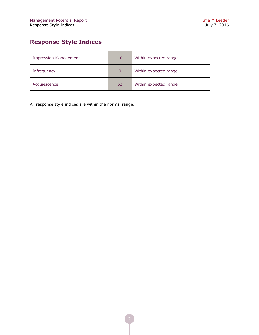## **Response Style Indices**

| <b>Impression Management</b> | 10 <sub>1</sub> | Within expected range |
|------------------------------|-----------------|-----------------------|
| Infrequency                  | $\Omega$        | Within expected range |
| Acquiescence                 | 62              | Within expected range |

All response style indices are within the normal range.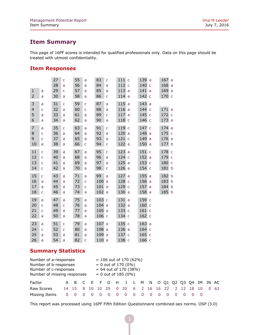### **Item Summary**

This page of 16PF scores is intended for qualified professionals only. Data on this page should be treated with utmost confidentiality.

#### **Item Responses**

|                |                | 27<br>28 | $\mathsf{C}$<br>a | 55<br>56 | a<br>a       | 83<br>84 | C<br>a | 111<br>112 | $\mathsf{C}$<br>$\mathsf{C}$ | 139<br>140 | a<br>$\mathsf{C}$ | 167a<br>168a |  |
|----------------|----------------|----------|-------------------|----------|--------------|----------|--------|------------|------------------------------|------------|-------------------|--------------|--|
| $\mathbf{1}$   |                | 29       | C                 | 57       |              | 85       |        | 113        | a                            | 141        | a                 | 169a         |  |
|                | a              |          |                   |          | a            |          | a      |            |                              |            |                   |              |  |
| $\overline{2}$ | a              | 30       | a                 | 58       | a            | 86       | C      | 114        | a                            | 142        | $\mathsf{C}$      | 170 c        |  |
| 3              | a              | 31       | Ċ                 | 59       | Ċ            | 87       | a      | 115        | a                            | 143        | a                 |              |  |
| $\overline{4}$ | C              | 32       | a                 | 60       | $\mathsf{C}$ | 88       | a      | 116        | a                            | 144        | $\mathsf{C}$      | 171a         |  |
| 5              | a              | 33       | a                 | 61       | a            | 89       | Ċ      | 117        | a                            | 145        | $\mathsf{C}$      | 172 c        |  |
| 6              | a              | 34       | a                 | 62       | a            | 90       | a      | 118        | $\mathsf{C}$                 | 146        | $\mathsf{C}$      | 173 a        |  |
| $\overline{7}$ | a              | 35       | Ċ                 | 63       | a            | 91       | Ċ      | 119        | $\mathsf{C}$                 | 147        | $\mathsf{C}$      | 174a         |  |
| 8              | Ċ              | 36       | a                 | 64       | a            | 92       | a      | 120        | a                            | 148        | a                 | 175 c        |  |
| 9              | C              | 37       | a                 | 65       | a            | 93       | a      | 121        | $\mathsf C$                  | 149        | a                 | 176 a        |  |
| 10             | a              | 38       | a                 | 66       | C            | 94       | C      | 122        | a                            | 150        | a                 | 177 b        |  |
| 11             | Ċ              | 39       | a                 | 67       | a            | 95       | Ċ      | 123        | a                            | 151        | $\mathsf{C}$      | 178 c        |  |
| 12             | $\overline{C}$ | 40       | a                 | 68       | a            | 96       | a      | 124        | $\mathsf{C}$                 | 152        | a                 | 179 c        |  |
| 13             | $\mathsf{C}$   | 41       | a                 | 69       | a            | 97       | a      | 125        | a                            | 153        | $\mathsf{C}$      | 180 с        |  |
| 14             | $\mathsf{C}$   | 42       |                   | 70       | a            | 98       | C      | 126        | a                            | 154 c      |                   | 181 b        |  |
|                |                |          | a                 |          |              |          |        |            |                              |            |                   |              |  |
| 15             | $\overline{C}$ | 43       | a                 | 71       | a            | 99       | a      | 127        | a                            | 155        | a                 | 182 b        |  |
| 16             | a              | 44       | a                 | 72       | Ċ            | 100      | a      | 128        | $\mathsf{C}$                 | 156        | a                 | 183 b        |  |
| 17             | a              | 45       | a                 | 73       | Ċ            | 101      | a      | 129        | $\mathsf{C}$                 | 157        | a                 | 184 b        |  |
| 18             | Ċ              | 46       | a                 | 74       | a            | 102      | a      | 130        | a                            | 158        | a                 | 185 b        |  |
| 19             | a              | 47       | a                 | 75       | a            | 103 c    |        | 131        | a                            | 159        | $\mathsf{C}$      |              |  |
| 20             | Ċ              | 48       | C                 | 76       | a            | 104a     |        | 132        | a                            | 160 с      |                   |              |  |
| 21             | $\overline{C}$ | 49       | a                 | 77       | a            | 105      | a      | 133        | $\mathsf{C}$                 | 161 c      |                   |              |  |
| 22             | a              | 50       | a                 | 78       | a            | 106 с    |        | 134        | $\mathsf{C}$                 | 162 c      |                   |              |  |
| 23             |                | 51       |                   | 79       |              | 107      |        | 135        |                              | 163a       |                   |              |  |
|                | a              |          | Ċ                 |          | a            |          | a      | 136        | $\mathsf{C}$                 |            |                   |              |  |
| 24             | C              | 52       | $\mathsf{C}$      | 80       | a            | 108      | a      |            | a                            | 164 с      |                   |              |  |
| 25             | a              | 53       | a                 | 81       | a            | 109      | a      | 137        | $\mathsf{C}$                 | 165 c      |                   |              |  |
| 26             | a              | 54       | a                 | 82       | Ċ            | 110a     |        | 138        | $\mathsf{C}$                 | 166 с      |                   |              |  |

## **Summary Statistics**

| Number of a-responses<br>Number of b-responses<br>Number of c-responses<br>Number of missing responses |    |            |  |  |       |   | $= 106$ out of 170 (62%)<br>$= 0$ out of 170 (0%)<br>$= 64$ out of 170 (38%)<br>$= 0$ out of 185 (0%) |   |  |  |         |  |    |              |
|--------------------------------------------------------------------------------------------------------|----|------------|--|--|-------|---|-------------------------------------------------------------------------------------------------------|---|--|--|---------|--|----|--------------|
| Factor                                                                                                 |    |            |  |  |       |   | A B C E F G H I L M N O Q1 Q2 Q3 Q4 IM IN AC                                                          |   |  |  |         |  |    |              |
| Raw Scores                                                                                             |    | 14 15 8 10 |  |  | 10 20 |   | 0 20 6 2 16 16 22                                                                                     |   |  |  | 2 12 18 |  | 10 | $0 \quad 62$ |
| Missing Items                                                                                          | O. |            |  |  |       | 0 | - 0                                                                                                   | 0 |  |  |         |  |    |              |

This report was processed using 16PF Fifth Edition Questionnaire combined-sex norms. OSP (3.0)